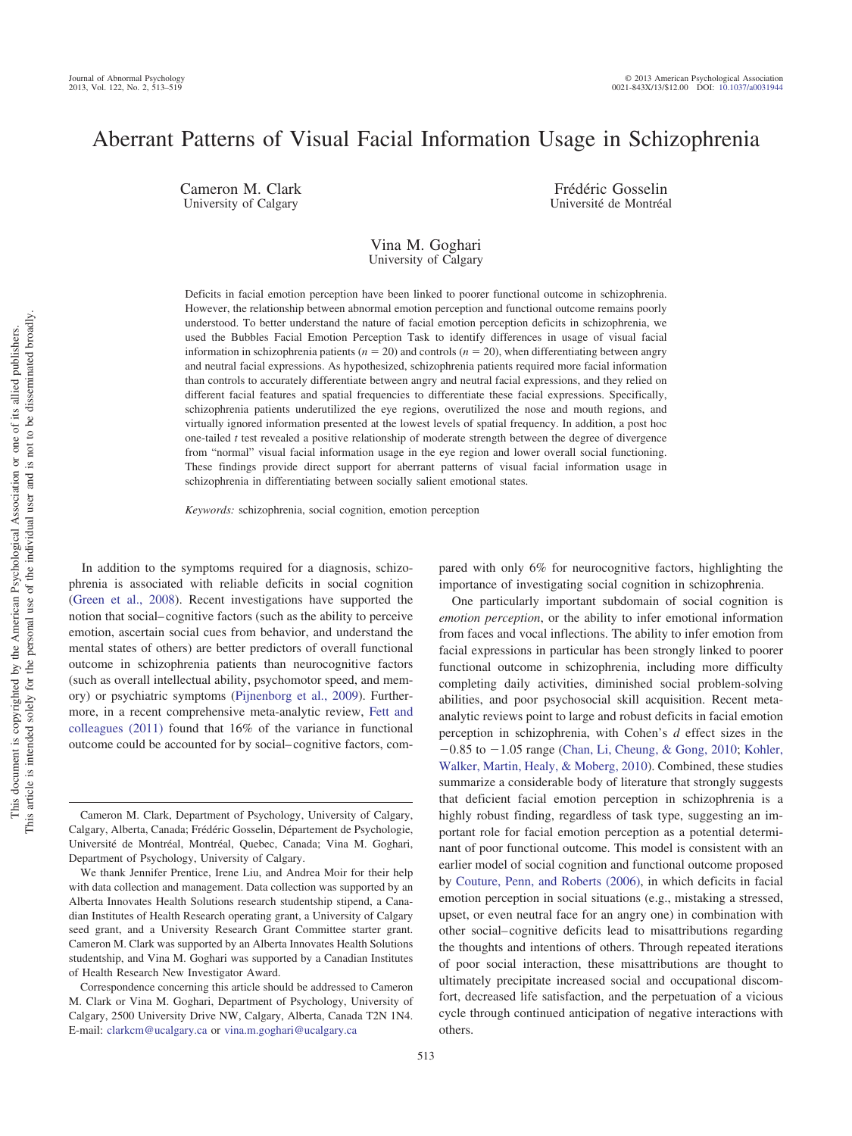# Aberrant Patterns of Visual Facial Information Usage in Schizophrenia

Cameron M. Clark University of Calgary

Frédéric Gosselin Université de Montréal

## Vina M. Goghari University of Calgary

Deficits in facial emotion perception have been linked to poorer functional outcome in schizophrenia. However, the relationship between abnormal emotion perception and functional outcome remains poorly understood. To better understand the nature of facial emotion perception deficits in schizophrenia, we used the Bubbles Facial Emotion Perception Task to identify differences in usage of visual facial information in schizophrenia patients ( $n = 20$ ) and controls ( $n = 20$ ), when differentiating between angry and neutral facial expressions. As hypothesized, schizophrenia patients required more facial information than controls to accurately differentiate between angry and neutral facial expressions, and they relied on different facial features and spatial frequencies to differentiate these facial expressions. Specifically, schizophrenia patients underutilized the eye regions, overutilized the nose and mouth regions, and virtually ignored information presented at the lowest levels of spatial frequency. In addition, a post hoc one-tailed *t* test revealed a positive relationship of moderate strength between the degree of divergence from "normal" visual facial information usage in the eye region and lower overall social functioning. These findings provide direct support for aberrant patterns of visual facial information usage in schizophrenia in differentiating between socially salient emotional states.

*Keywords:* schizophrenia, social cognition, emotion perception

In addition to the symptoms required for a diagnosis, schizophrenia is associated with reliable deficits in social cognition [\(Green et al., 2008\)](#page-5-0). Recent investigations have supported the notion that social– cognitive factors (such as the ability to perceive emotion, ascertain social cues from behavior, and understand the mental states of others) are better predictors of overall functional outcome in schizophrenia patients than neurocognitive factors (such as overall intellectual ability, psychomotor speed, and memory) or psychiatric symptoms [\(Pijnenborg et al., 2009\)](#page-6-0). Furthermore, in a recent comprehensive meta-analytic review, [Fett and](#page-5-1) [colleagues \(2011\)](#page-5-1) found that 16% of the variance in functional outcome could be accounted for by social– cognitive factors, com-

Cameron M. Clark, Department of Psychology, University of Calgary, Calgary, Alberta, Canada; Frédéric Gosselin, Département de Psychologie, Université de Montréal, Montréal, Quebec, Canada; Vina M. Goghari, Department of Psychology, University of Calgary.

We thank Jennifer Prentice, Irene Liu, and Andrea Moir for their help with data collection and management. Data collection was supported by an Alberta Innovates Health Solutions research studentship stipend, a Canadian Institutes of Health Research operating grant, a University of Calgary seed grant, and a University Research Grant Committee starter grant. Cameron M. Clark was supported by an Alberta Innovates Health Solutions studentship, and Vina M. Goghari was supported by a Canadian Institutes of Health Research New Investigator Award.

Correspondence concerning this article should be addressed to Cameron M. Clark or Vina M. Goghari, Department of Psychology, University of Calgary, 2500 University Drive NW, Calgary, Alberta, Canada T2N 1N4. E-mail: [clarkcm@ucalgary.ca](mailto:clarkcm@ucalgary.ca) or [vina.m.goghari@ucalgary.ca](mailto:vina.m.goghari@ucalgary.ca)

pared with only 6% for neurocognitive factors, highlighting the importance of investigating social cognition in schizophrenia.

One particularly important subdomain of social cognition is *emotion perception*, or the ability to infer emotional information from faces and vocal inflections. The ability to infer emotion from facial expressions in particular has been strongly linked to poorer functional outcome in schizophrenia, including more difficulty completing daily activities, diminished social problem-solving abilities, and poor psychosocial skill acquisition. Recent metaanalytic reviews point to large and robust deficits in facial emotion perception in schizophrenia, with Cohen's *d* effect sizes in the -0.85 to -1.05 range [\(Chan, Li, Cheung, & Gong, 2010;](#page-5-2) [Kohler,](#page-5-3) [Walker, Martin, Healy, & Moberg, 2010\)](#page-5-3). Combined, these studies summarize a considerable body of literature that strongly suggests that deficient facial emotion perception in schizophrenia is a highly robust finding, regardless of task type, suggesting an important role for facial emotion perception as a potential determinant of poor functional outcome. This model is consistent with an earlier model of social cognition and functional outcome proposed by [Couture, Penn, and Roberts \(2006\),](#page-5-4) in which deficits in facial emotion perception in social situations (e.g., mistaking a stressed, upset, or even neutral face for an angry one) in combination with other social– cognitive deficits lead to misattributions regarding the thoughts and intentions of others. Through repeated iterations of poor social interaction, these misattributions are thought to ultimately precipitate increased social and occupational discomfort, decreased life satisfaction, and the perpetuation of a vicious cycle through continued anticipation of negative interactions with others.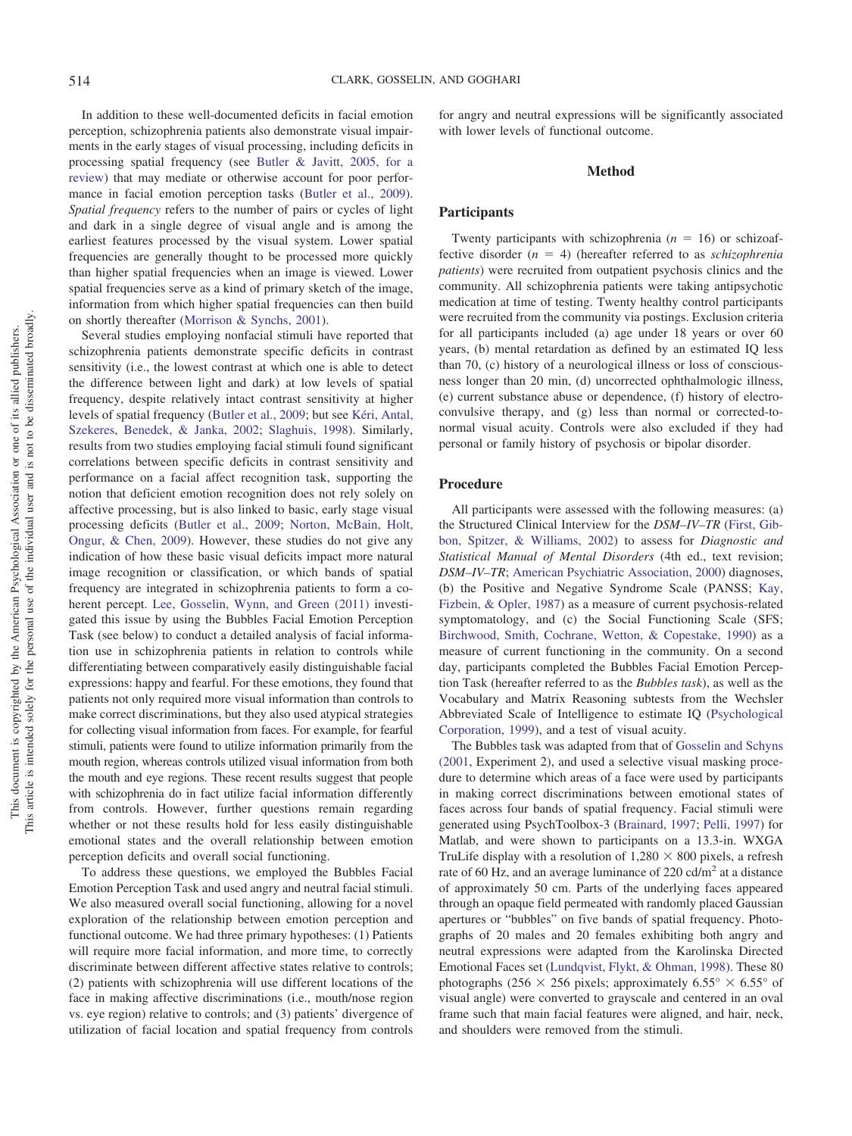In addition to these well-documented deficits in facial emotion perception, schizophrenia patients also demonstrate visual impairments in the early stages of visual processing, including deficits in processing spatial frequency (see [Butler & Javitt, 2005, for a](#page-5-5) [review\)](#page-5-5) that may mediate or otherwise account for poor performance in facial emotion perception tasks [\(Butler et al., 2009\)](#page-5-6). *Spatial frequency* refers to the number of pairs or cycles of light and dark in a single degree of visual angle and is among the earliest features processed by the visual system. Lower spatial frequencies are generally thought to be processed more quickly than higher spatial frequencies when an image is viewed. Lower spatial frequencies serve as a kind of primary sketch of the image, information from which higher spatial frequencies can then build on shortly thereafter [\(Morrison & Synchs, 2001\)](#page-6-1).

Several studies employing nonfacial stimuli have reported that schizophrenia patients demonstrate specific deficits in contrast sensitivity (i.e., the lowest contrast at which one is able to detect the difference between light and dark) at low levels of spatial frequency, despite relatively intact contrast sensitivity at higher levels of spatial frequency [\(Butler et al., 2009;](#page-5-6) but see [Kéri, Antal,](#page-5-7) [Szekeres, Benedek, & Janka, 2002;](#page-5-7) [Slaghuis, 1998\)](#page-6-2). Similarly, results from two studies employing facial stimuli found significant correlations between specific deficits in contrast sensitivity and performance on a facial affect recognition task, supporting the notion that deficient emotion recognition does not rely solely on affective processing, but is also linked to basic, early stage visual processing deficits [\(Butler et al., 2009;](#page-5-6) [Norton, McBain, Holt,](#page-6-3) [Ongur, & Chen, 2009\)](#page-6-3). However, these studies do not give any indication of how these basic visual deficits impact more natural image recognition or classification, or which bands of spatial frequency are integrated in schizophrenia patients to form a coherent percept. [Lee, Gosselin, Wynn, and Green \(2011\)](#page-6-4) investigated this issue by using the Bubbles Facial Emotion Perception Task (see below) to conduct a detailed analysis of facial information use in schizophrenia patients in relation to controls while differentiating between comparatively easily distinguishable facial expressions: happy and fearful. For these emotions, they found that patients not only required more visual information than controls to make correct discriminations, but they also used atypical strategies for collecting visual information from faces. For example, for fearful stimuli, patients were found to utilize information primarily from the mouth region, whereas controls utilized visual information from both the mouth and eye regions. These recent results suggest that people with schizophrenia do in fact utilize facial information differently from controls. However, further questions remain regarding whether or not these results hold for less easily distinguishable emotional states and the overall relationship between emotion perception deficits and overall social functioning.

To address these questions, we employed the Bubbles Facial Emotion Perception Task and used angry and neutral facial stimuli. We also measured overall social functioning, allowing for a novel exploration of the relationship between emotion perception and functional outcome. We had three primary hypotheses: (1) Patients will require more facial information, and more time, to correctly discriminate between different affective states relative to controls; (2) patients with schizophrenia will use different locations of the face in making affective discriminations (i.e., mouth/nose region vs. eye region) relative to controls; and (3) patients' divergence of utilization of facial location and spatial frequency from controls for angry and neutral expressions will be significantly associated with lower levels of functional outcome.

## **Method**

## **Participants**

Twenty participants with schizophrenia  $(n = 16)$  or schizoaffective disorder  $(n = 4)$  (hereafter referred to as *schizophrenia patients*) were recruited from outpatient psychosis clinics and the community. All schizophrenia patients were taking antipsychotic medication at time of testing. Twenty healthy control participants were recruited from the community via postings. Exclusion criteria for all participants included (a) age under 18 years or over 60 years, (b) mental retardation as defined by an estimated IQ less than 70, (c) history of a neurological illness or loss of consciousness longer than 20 min, (d) uncorrected ophthalmologic illness, (e) current substance abuse or dependence, (f) history of electroconvulsive therapy, and (g) less than normal or corrected-tonormal visual acuity. Controls were also excluded if they had personal or family history of psychosis or bipolar disorder.

## **Procedure**

All participants were assessed with the following measures: (a) the Structured Clinical Interview for the *DSM–IV–TR* [\(First, Gib](#page-5-8)[bon, Spitzer, & Williams, 2002\)](#page-5-8) to assess for *Diagnostic and Statistical Manual of Mental Disorders* (4th ed., text revision; *DSM–IV–TR*; [American Psychiatric Association, 2000\)](#page-5-9) diagnoses, (b) the Positive and Negative Syndrome Scale (PANSS; [Kay,](#page-5-10) [Fizbein, & Opler, 1987\)](#page-5-10) as a measure of current psychosis-related symptomatology, and (c) the Social Functioning Scale (SFS; [Birchwood, Smith, Cochrane, Wetton, & Copestake, 1990\)](#page-5-11) as a measure of current functioning in the community. On a second day, participants completed the Bubbles Facial Emotion Perception Task (hereafter referred to as the *Bubbles task*), as well as the Vocabulary and Matrix Reasoning subtests from the Wechsler Abbreviated Scale of Intelligence to estimate IQ [\(Psychological](#page-6-5) [Corporation, 1999\)](#page-6-5), and a test of visual acuity.

The Bubbles task was adapted from that of [Gosselin and Schyns](#page-5-12) [\(2001,](#page-5-12) Experiment 2), and used a selective visual masking procedure to determine which areas of a face were used by participants in making correct discriminations between emotional states of faces across four bands of spatial frequency. Facial stimuli were generated using PsychToolbox-3 [\(Brainard, 1997;](#page-5-13) [Pelli, 1997\)](#page-6-6) for Matlab, and were shown to participants on a 13.3-in. WXGA TruLife display with a resolution of  $1,280 \times 800$  pixels, a refresh rate of 60 Hz, and an average luminance of 220 cd/m<sup>2</sup> at a distance of approximately 50 cm. Parts of the underlying faces appeared through an opaque field permeated with randomly placed Gaussian apertures or "bubbles" on five bands of spatial frequency. Photographs of 20 males and 20 females exhibiting both angry and neutral expressions were adapted from the Karolinska Directed Emotional Faces set [\(Lundqvist, Flykt, & Ohman, 1998\)](#page-6-7). These 80 photographs (256  $\times$  256 pixels; approximately 6.55°  $\times$  6.55° of visual angle) were converted to grayscale and centered in an oval frame such that main facial features were aligned, and hair, neck, and shoulders were removed from the stimuli.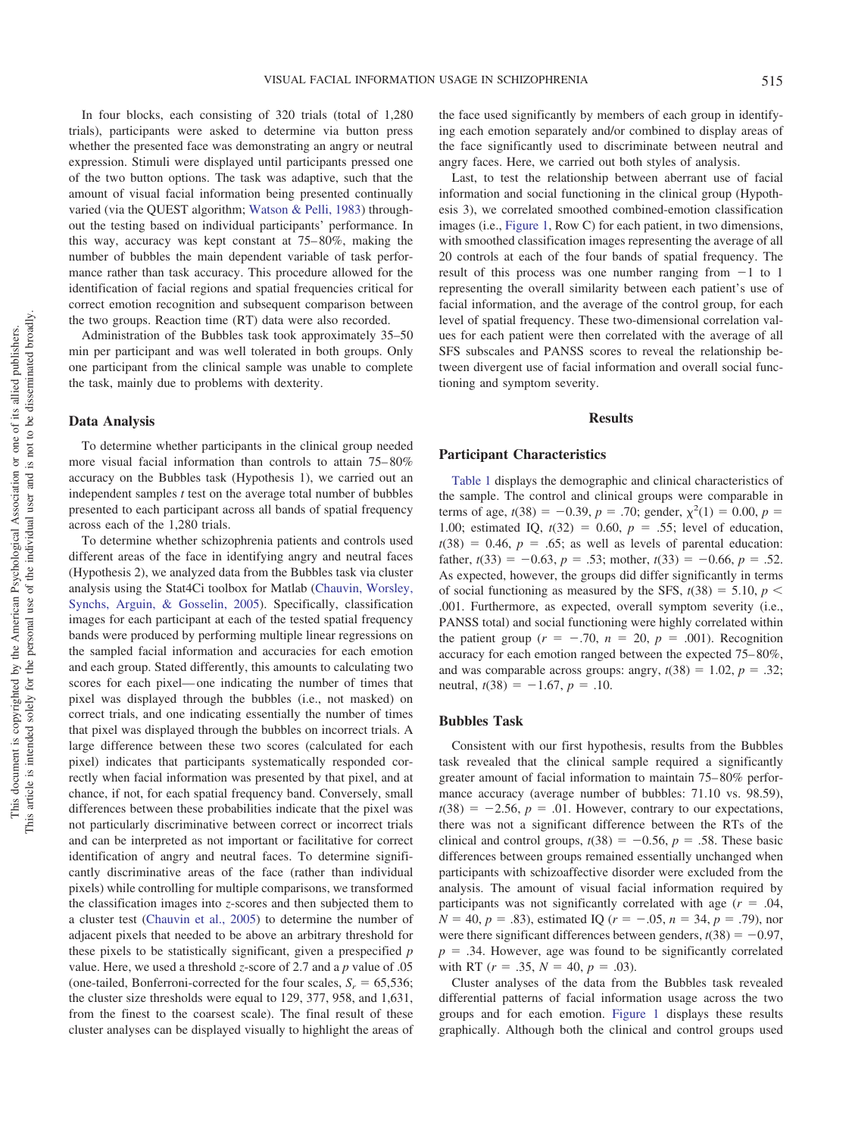In four blocks, each consisting of 320 trials (total of 1,280 trials), participants were asked to determine via button press whether the presented face was demonstrating an angry or neutral expression. Stimuli were displayed until participants pressed one of the two button options. The task was adaptive, such that the amount of visual facial information being presented continually varied (via the QUEST algorithm; [Watson & Pelli, 1983\)](#page-6-8) throughout the testing based on individual participants' performance. In this way, accuracy was kept constant at 75– 80%, making the number of bubbles the main dependent variable of task performance rather than task accuracy. This procedure allowed for the identification of facial regions and spatial frequencies critical for correct emotion recognition and subsequent comparison between the two groups. Reaction time (RT) data were also recorded.

Administration of the Bubbles task took approximately 35–50 min per participant and was well tolerated in both groups. Only one participant from the clinical sample was unable to complete the task, mainly due to problems with dexterity.

#### **Data Analysis**

To determine whether participants in the clinical group needed more visual facial information than controls to attain 75–80% accuracy on the Bubbles task (Hypothesis 1), we carried out an independent samples *t* test on the average total number of bubbles presented to each participant across all bands of spatial frequency across each of the 1,280 trials.

To determine whether schizophrenia patients and controls used different areas of the face in identifying angry and neutral faces (Hypothesis 2), we analyzed data from the Bubbles task via cluster analysis using the Stat4Ci toolbox for Matlab [\(Chauvin, Worsley,](#page-5-14) [Synchs, Arguin, & Gosselin, 2005\)](#page-5-14). Specifically, classification images for each participant at each of the tested spatial frequency bands were produced by performing multiple linear regressions on the sampled facial information and accuracies for each emotion and each group. Stated differently, this amounts to calculating two scores for each pixel— one indicating the number of times that pixel was displayed through the bubbles (i.e., not masked) on correct trials, and one indicating essentially the number of times that pixel was displayed through the bubbles on incorrect trials. A large difference between these two scores (calculated for each pixel) indicates that participants systematically responded correctly when facial information was presented by that pixel, and at chance, if not, for each spatial frequency band. Conversely, small differences between these probabilities indicate that the pixel was not particularly discriminative between correct or incorrect trials and can be interpreted as not important or facilitative for correct identification of angry and neutral faces. To determine significantly discriminative areas of the face (rather than individual pixels) while controlling for multiple comparisons, we transformed the classification images into *z*-scores and then subjected them to a cluster test [\(Chauvin et al., 2005\)](#page-5-14) to determine the number of adjacent pixels that needed to be above an arbitrary threshold for these pixels to be statistically significant, given a prespecified *p* value. Here, we used a threshold *z*-score of 2.7 and a *p* value of .05 (one-tailed, Bonferroni-corrected for the four scales,  $S_r = 65,536$ ; the cluster size thresholds were equal to 129, 377, 958, and 1,631, from the finest to the coarsest scale). The final result of these cluster analyses can be displayed visually to highlight the areas of

the face used significantly by members of each group in identifying each emotion separately and/or combined to display areas of the face significantly used to discriminate between neutral and angry faces. Here, we carried out both styles of analysis.

Last, to test the relationship between aberrant use of facial information and social functioning in the clinical group (Hypothesis 3), we correlated smoothed combined-emotion classification images (i.e., [Figure 1,](#page-3-0) Row C) for each patient, in two dimensions, with smoothed classification images representing the average of all 20 controls at each of the four bands of spatial frequency. The result of this process was one number ranging from  $-1$  to 1 representing the overall similarity between each patient's use of facial information, and the average of the control group, for each level of spatial frequency. These two-dimensional correlation values for each patient were then correlated with the average of all SFS subscales and PANSS scores to reveal the relationship between divergent use of facial information and overall social functioning and symptom severity.

## **Results**

#### **Participant Characteristics**

[Table 1](#page-4-0) displays the demographic and clinical characteristics of the sample. The control and clinical groups were comparable in terms of age,  $t(38) = -0.39$ ,  $p = .70$ ; gender,  $\chi^2(1) = 0.00$ ,  $p =$ 1.00; estimated IQ,  $t(32) = 0.60$ ,  $p = .55$ ; level of education,  $t(38) = 0.46$ ,  $p = .65$ ; as well as levels of parental education: father,  $t(33) = -0.63$ ,  $p = .53$ ; mother,  $t(33) = -0.66$ ,  $p = .52$ . As expected, however, the groups did differ significantly in terms of social functioning as measured by the SFS,  $t(38) = 5.10$ ,  $p <$ .001. Furthermore, as expected, overall symptom severity (i.e., PANSS total) and social functioning were highly correlated within the patient group ( $r = -.70$ ,  $n = 20$ ,  $p = .001$ ). Recognition accuracy for each emotion ranged between the expected 75– 80%, and was comparable across groups: angry,  $t(38) = 1.02$ ,  $p = .32$ ; neutral,  $t(38) = -1.67$ ,  $p = .10$ .

#### **Bubbles Task**

Consistent with our first hypothesis, results from the Bubbles task revealed that the clinical sample required a significantly greater amount of facial information to maintain 75– 80% performance accuracy (average number of bubbles: 71.10 vs. 98.59),  $t(38) = -2.56$ ,  $p = .01$ . However, contrary to our expectations, there was not a significant difference between the RTs of the clinical and control groups,  $t(38) = -0.56$ ,  $p = .58$ . These basic differences between groups remained essentially unchanged when participants with schizoaffective disorder were excluded from the analysis. The amount of visual facial information required by participants was not significantly correlated with age  $(r = .04, ...)$  $N = 40, p = .83$ , estimated IQ ( $r = -.05, n = 34, p = .79$ ), nor were there significant differences between genders,  $t(38) = -0.97$ ,  $p = .34$ . However, age was found to be significantly correlated with RT ( $r = .35$ ,  $N = 40$ ,  $p = .03$ ).

Cluster analyses of the data from the Bubbles task revealed differential patterns of facial information usage across the two groups and for each emotion. [Figure 1](#page-3-0) displays these results graphically. Although both the clinical and control groups used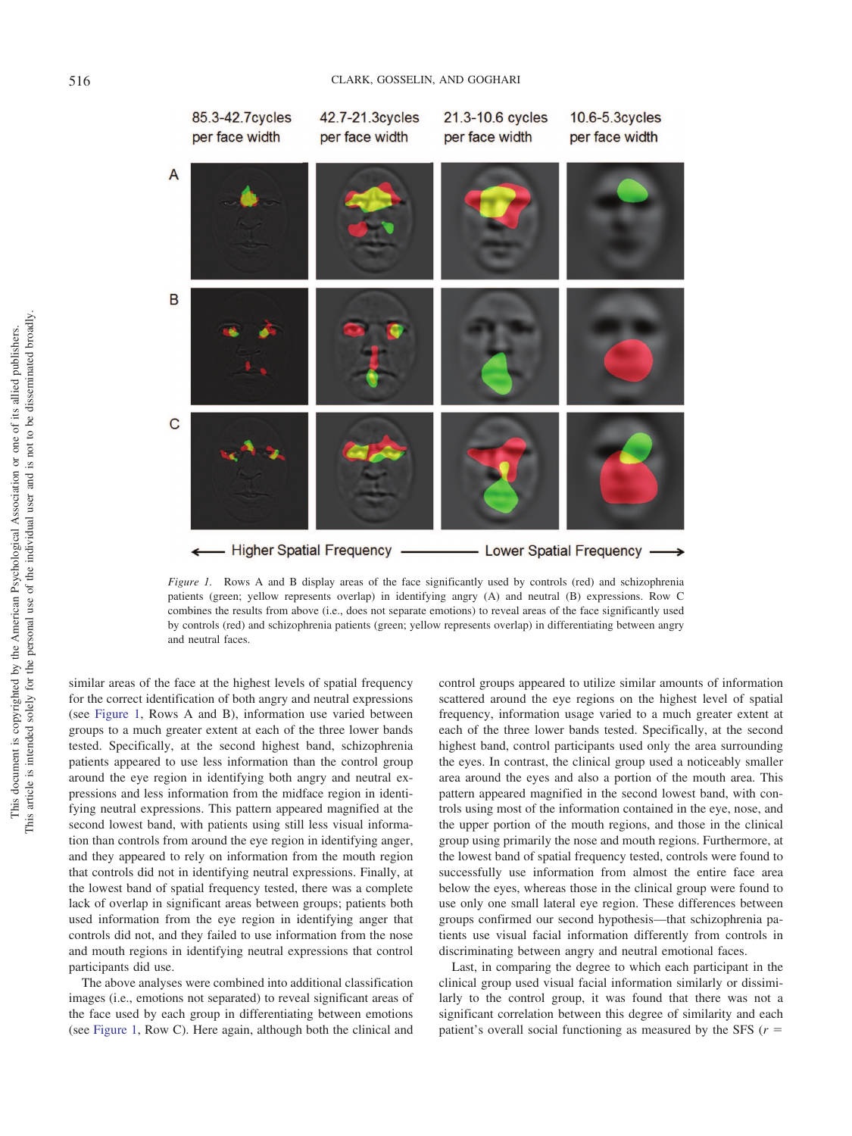

<span id="page-3-0"></span>*Figure 1.* Rows A and B display areas of the face significantly used by controls (red) and schizophrenia patients (green; yellow represents overlap) in identifying angry (A) and neutral (B) expressions. Row C combines the results from above (i.e., does not separate emotions) to reveal areas of the face significantly used by controls (red) and schizophrenia patients (green; yellow represents overlap) in differentiating between angry and neutral faces.

similar areas of the face at the highest levels of spatial frequency for the correct identification of both angry and neutral expressions (see [Figure 1,](#page-3-0) Rows A and B), information use varied between groups to a much greater extent at each of the three lower bands tested. Specifically, at the second highest band, schizophrenia patients appeared to use less information than the control group around the eye region in identifying both angry and neutral expressions and less information from the midface region in identifying neutral expressions. This pattern appeared magnified at the second lowest band, with patients using still less visual information than controls from around the eye region in identifying anger, and they appeared to rely on information from the mouth region that controls did not in identifying neutral expressions. Finally, at the lowest band of spatial frequency tested, there was a complete lack of overlap in significant areas between groups; patients both used information from the eye region in identifying anger that controls did not, and they failed to use information from the nose and mouth regions in identifying neutral expressions that control participants did use.

The above analyses were combined into additional classification images (i.e., emotions not separated) to reveal significant areas of the face used by each group in differentiating between emotions (see [Figure 1,](#page-3-0) Row C). Here again, although both the clinical and control groups appeared to utilize similar amounts of information scattered around the eye regions on the highest level of spatial frequency, information usage varied to a much greater extent at each of the three lower bands tested. Specifically, at the second highest band, control participants used only the area surrounding the eyes. In contrast, the clinical group used a noticeably smaller area around the eyes and also a portion of the mouth area. This pattern appeared magnified in the second lowest band, with controls using most of the information contained in the eye, nose, and the upper portion of the mouth regions, and those in the clinical group using primarily the nose and mouth regions. Furthermore, at the lowest band of spatial frequency tested, controls were found to successfully use information from almost the entire face area below the eyes, whereas those in the clinical group were found to use only one small lateral eye region. These differences between groups confirmed our second hypothesis—that schizophrenia patients use visual facial information differently from controls in discriminating between angry and neutral emotional faces.

Last, in comparing the degree to which each participant in the clinical group used visual facial information similarly or dissimilarly to the control group, it was found that there was not a significant correlation between this degree of similarity and each patient's overall social functioning as measured by the SFS (*r*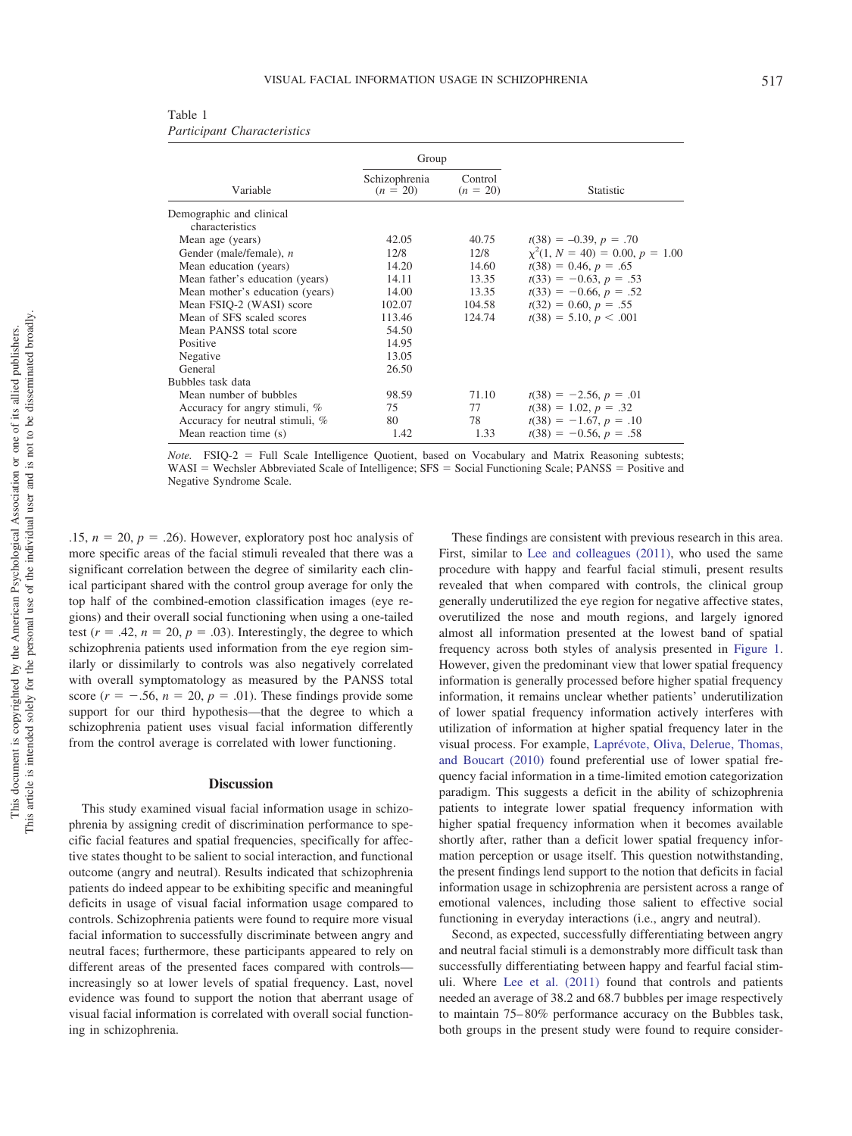<span id="page-4-0"></span>

| Table 1 |                                    |
|---------|------------------------------------|
|         | <b>Participant Characteristics</b> |

|                                 | Group                       |                       |                                      |
|---------------------------------|-----------------------------|-----------------------|--------------------------------------|
| Variable                        | Schizophrenia<br>$(n = 20)$ | Control<br>$(n = 20)$ | Statistic                            |
| Demographic and clinical        |                             |                       |                                      |
| characteristics                 |                             |                       |                                      |
| Mean age (years)                | 42.05                       | 40.75                 | $t(38) = -0.39, p = .70$             |
| Gender (male/female), $n$       | 12/8                        | 12/8                  | $\chi^2(1, N = 40) = 0.00, p = 1.00$ |
| Mean education (years)          | 14.20                       | 14.60                 | $t(38) = 0.46, p = .65$              |
| Mean father's education (years) | 14.11                       | 13.35                 | $t(33) = -0.63, p = .53$             |
| Mean mother's education (years) | 14.00                       | 13.35                 | $t(33) = -0.66, p = .52$             |
| Mean FSIO-2 (WASI) score        | 102.07                      | 104.58                | $t(32) = 0.60, p = .55$              |
| Mean of SFS scaled scores       | 113.46                      | 124.74                | $t(38) = 5.10, p < .001$             |
| Mean PANSS total score          | 54.50                       |                       |                                      |
| Positive                        | 14.95                       |                       |                                      |
| Negative                        | 13.05                       |                       |                                      |
| General                         | 26.50                       |                       |                                      |
| Bubbles task data               |                             |                       |                                      |
| Mean number of bubbles          | 98.59                       | 71.10                 | $t(38) = -2.56, p = .01$             |
| Accuracy for angry stimuli, %   | 75                          | 77                    | $t(38) = 1.02, p = .32$              |
| Accuracy for neutral stimuli, % | 80                          | 78                    | $t(38) = -1.67, p = .10$             |
| Mean reaction time (s)          | 1.42                        | 1.33                  | $t(38) = -0.56, p = .58$             |

*Note.* FSIQ-2 = Full Scale Intelligence Quotient, based on Vocabulary and Matrix Reasoning subtests;  $WASI = Wechsler Abbreviated Scale of Intelligence; SFS = Social Functioning Scale; PANSS = Positive and$ Negative Syndrome Scale.

.15,  $n = 20$ ,  $p = .26$ ). However, exploratory post hoc analysis of more specific areas of the facial stimuli revealed that there was a significant correlation between the degree of similarity each clinical participant shared with the control group average for only the top half of the combined-emotion classification images (eye regions) and their overall social functioning when using a one-tailed test ( $r = .42$ ,  $n = 20$ ,  $p = .03$ ). Interestingly, the degree to which schizophrenia patients used information from the eye region similarly or dissimilarly to controls was also negatively correlated with overall symptomatology as measured by the PANSS total score  $(r = -.56, n = 20, p = .01)$ . These findings provide some support for our third hypothesis—that the degree to which a schizophrenia patient uses visual facial information differently from the control average is correlated with lower functioning.

#### **Discussion**

This study examined visual facial information usage in schizophrenia by assigning credit of discrimination performance to specific facial features and spatial frequencies, specifically for affective states thought to be salient to social interaction, and functional outcome (angry and neutral). Results indicated that schizophrenia patients do indeed appear to be exhibiting specific and meaningful deficits in usage of visual facial information usage compared to controls. Schizophrenia patients were found to require more visual facial information to successfully discriminate between angry and neutral faces; furthermore, these participants appeared to rely on different areas of the presented faces compared with controls increasingly so at lower levels of spatial frequency. Last, novel evidence was found to support the notion that aberrant usage of visual facial information is correlated with overall social functioning in schizophrenia.

These findings are consistent with previous research in this area. First, similar to [Lee and colleagues \(2011\),](#page-6-4) who used the same procedure with happy and fearful facial stimuli, present results revealed that when compared with controls, the clinical group generally underutilized the eye region for negative affective states, overutilized the nose and mouth regions, and largely ignored almost all information presented at the lowest band of spatial frequency across both styles of analysis presented in [Figure 1.](#page-3-0) However, given the predominant view that lower spatial frequency information is generally processed before higher spatial frequency information, it remains unclear whether patients' underutilization of lower spatial frequency information actively interferes with utilization of information at higher spatial frequency later in the visual process. For example, [Laprévote, Oliva, Delerue, Thomas,](#page-6-9) [and Boucart \(2010\)](#page-6-9) found preferential use of lower spatial frequency facial information in a time-limited emotion categorization paradigm. This suggests a deficit in the ability of schizophrenia patients to integrate lower spatial frequency information with higher spatial frequency information when it becomes available shortly after, rather than a deficit lower spatial frequency information perception or usage itself. This question notwithstanding, the present findings lend support to the notion that deficits in facial information usage in schizophrenia are persistent across a range of emotional valences, including those salient to effective social functioning in everyday interactions (i.e., angry and neutral).

Second, as expected, successfully differentiating between angry and neutral facial stimuli is a demonstrably more difficult task than successfully differentiating between happy and fearful facial stimuli. Where [Lee et al. \(2011\)](#page-6-4) found that controls and patients needed an average of 38.2 and 68.7 bubbles per image respectively to maintain 75– 80% performance accuracy on the Bubbles task, both groups in the present study were found to require consider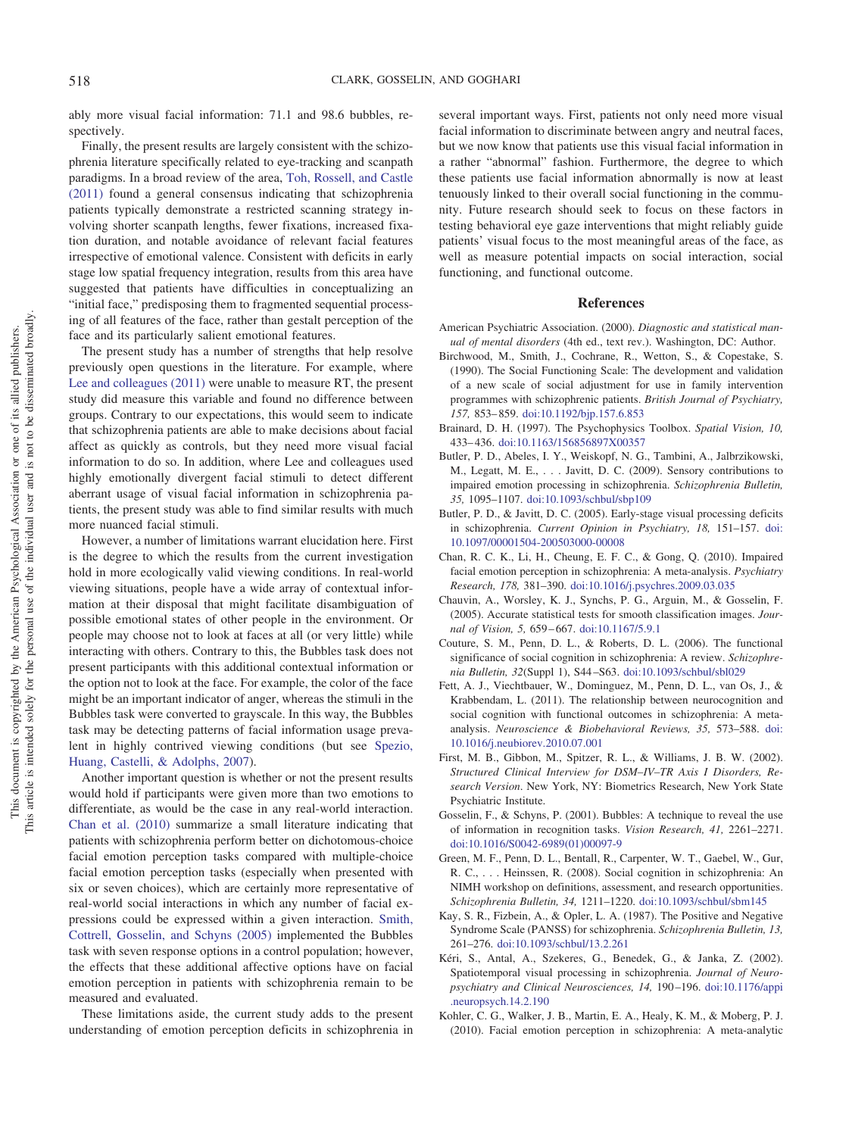ably more visual facial information: 71.1 and 98.6 bubbles, respectively.

Finally, the present results are largely consistent with the schizophrenia literature specifically related to eye-tracking and scanpath paradigms. In a broad review of the area, [Toh, Rossell, and Castle](#page-6-10) [\(2011\)](#page-6-10) found a general consensus indicating that schizophrenia patients typically demonstrate a restricted scanning strategy involving shorter scanpath lengths, fewer fixations, increased fixation duration, and notable avoidance of relevant facial features irrespective of emotional valence. Consistent with deficits in early stage low spatial frequency integration, results from this area have suggested that patients have difficulties in conceptualizing an "initial face," predisposing them to fragmented sequential processing of all features of the face, rather than gestalt perception of the face and its particularly salient emotional features.

The present study has a number of strengths that help resolve previously open questions in the literature. For example, where [Lee and colleagues \(2011\)](#page-6-4) were unable to measure RT, the present study did measure this variable and found no difference between groups. Contrary to our expectations, this would seem to indicate that schizophrenia patients are able to make decisions about facial affect as quickly as controls, but they need more visual facial information to do so. In addition, where Lee and colleagues used highly emotionally divergent facial stimuli to detect different aberrant usage of visual facial information in schizophrenia patients, the present study was able to find similar results with much more nuanced facial stimuli.

However, a number of limitations warrant elucidation here. First is the degree to which the results from the current investigation hold in more ecologically valid viewing conditions. In real-world viewing situations, people have a wide array of contextual information at their disposal that might facilitate disambiguation of possible emotional states of other people in the environment. Or people may choose not to look at faces at all (or very little) while interacting with others. Contrary to this, the Bubbles task does not present participants with this additional contextual information or the option not to look at the face. For example, the color of the face might be an important indicator of anger, whereas the stimuli in the Bubbles task were converted to grayscale. In this way, the Bubbles task may be detecting patterns of facial information usage prevalent in highly contrived viewing conditions (but see [Spezio,](#page-6-11) [Huang, Castelli, & Adolphs, 2007\)](#page-6-11).

Another important question is whether or not the present results would hold if participants were given more than two emotions to differentiate, as would be the case in any real-world interaction. [Chan et al. \(2010\)](#page-5-2) summarize a small literature indicating that patients with schizophrenia perform better on dichotomous-choice facial emotion perception tasks compared with multiple-choice facial emotion perception tasks (especially when presented with six or seven choices), which are certainly more representative of real-world social interactions in which any number of facial expressions could be expressed within a given interaction. [Smith,](#page-6-12) [Cottrell, Gosselin, and Schyns \(2005\)](#page-6-12) implemented the Bubbles task with seven response options in a control population; however, the effects that these additional affective options have on facial emotion perception in patients with schizophrenia remain to be measured and evaluated.

These limitations aside, the current study adds to the present understanding of emotion perception deficits in schizophrenia in several important ways. First, patients not only need more visual facial information to discriminate between angry and neutral faces, but we now know that patients use this visual facial information in a rather "abnormal" fashion. Furthermore, the degree to which these patients use facial information abnormally is now at least tenuously linked to their overall social functioning in the community. Future research should seek to focus on these factors in testing behavioral eye gaze interventions that might reliably guide patients' visual focus to the most meaningful areas of the face, as well as measure potential impacts on social interaction, social functioning, and functional outcome.

#### **References**

- <span id="page-5-9"></span>American Psychiatric Association. (2000). *Diagnostic and statistical manual of mental disorders* (4th ed., text rev.). Washington, DC: Author.
- <span id="page-5-11"></span>Birchwood, M., Smith, J., Cochrane, R., Wetton, S., & Copestake, S. (1990). The Social Functioning Scale: The development and validation of a new scale of social adjustment for use in family intervention programmes with schizophrenic patients. *British Journal of Psychiatry, 157,* 853– 859. [doi:10.1192/bjp.157.6.853](http://dx.doi.org/10.1192/bjp.157.6.853)
- <span id="page-5-13"></span>Brainard, D. H. (1997). The Psychophysics Toolbox. *Spatial Vision, 10,* 433– 436. [doi:10.1163/156856897X00357](http://dx.doi.org/10.1163/156856897X00357)
- <span id="page-5-6"></span>Butler, P. D., Abeles, I. Y., Weiskopf, N. G., Tambini, A., Jalbrzikowski, M., Legatt, M. E.,... Javitt, D. C. (2009). Sensory contributions to impaired emotion processing in schizophrenia. *Schizophrenia Bulletin, 35,* 1095–1107. [doi:10.1093/schbul/sbp109](http://dx.doi.org/10.1093/schbul/sbp109)
- <span id="page-5-5"></span>Butler, P. D., & Javitt, D. C. (2005). Early-stage visual processing deficits in schizophrenia. *Current Opinion in Psychiatry, 18,* 151–157. [doi:](http://dx.doi.org/10.1097/00001504-200503000-00008) [10.1097/00001504-200503000-00008](http://dx.doi.org/10.1097/00001504-200503000-00008)
- <span id="page-5-2"></span>Chan, R. C. K., Li, H., Cheung, E. F. C., & Gong, Q. (2010). Impaired facial emotion perception in schizophrenia: A meta-analysis. *Psychiatry Research, 178,* 381–390. [doi:10.1016/j.psychres.2009.03.035](http://dx.doi.org/10.1016/j.psychres.2009.03.035)
- <span id="page-5-14"></span>Chauvin, A., Worsley, K. J., Synchs, P. G., Arguin, M., & Gosselin, F. (2005). Accurate statistical tests for smooth classification images. *Journal of Vision, 5,* 659 – 667. [doi:10.1167/5.9.1](http://dx.doi.org/10.1167/5.9.1)
- <span id="page-5-4"></span>Couture, S. M., Penn, D. L., & Roberts, D. L. (2006). The functional significance of social cognition in schizophrenia: A review. *Schizophrenia Bulletin, 32*(Suppl 1), S44 –S63. [doi:10.1093/schbul/sbl029](http://dx.doi.org/10.1093/schbul/sbl029)
- <span id="page-5-1"></span>Fett, A. J., Viechtbauer, W., Dominguez, M., Penn, D. L., van Os, J., & Krabbendam, L. (2011). The relationship between neurocognition and social cognition with functional outcomes in schizophrenia: A metaanalysis. *Neuroscience & Biobehavioral Reviews, 35,* 573–588. [doi:](http://dx.doi.org/10.1016/j.neubiorev.2010.07.001) [10.1016/j.neubiorev.2010.07.001](http://dx.doi.org/10.1016/j.neubiorev.2010.07.001)
- <span id="page-5-8"></span>First, M. B., Gibbon, M., Spitzer, R. L., & Williams, J. B. W. (2002). *Structured Clinical Interview for DSM–IV–TR Axis I Disorders, Research Version*. New York, NY: Biometrics Research, New York State Psychiatric Institute.
- <span id="page-5-12"></span>Gosselin, F., & Schyns, P. (2001). Bubbles: A technique to reveal the use of information in recognition tasks. *Vision Research, 41,* 2261–2271. [doi:10.1016/S0042-6989\(01\)00097-9](http://dx.doi.org/10.1016/S0042-6989%2801%2900097-9)
- <span id="page-5-0"></span>Green, M. F., Penn, D. L., Bentall, R., Carpenter, W. T., Gaebel, W., Gur, R. C., . . . Heinssen, R. (2008). Social cognition in schizophrenia: An NIMH workshop on definitions, assessment, and research opportunities. *Schizophrenia Bulletin, 34,* 1211–1220. [doi:10.1093/schbul/sbm145](http://dx.doi.org/10.1093/schbul/sbm145)
- <span id="page-5-10"></span>Kay, S. R., Fizbein, A., & Opler, L. A. (1987). The Positive and Negative Syndrome Scale (PANSS) for schizophrenia. *Schizophrenia Bulletin, 13,* 261–276. [doi:10.1093/schbul/13.2.261](http://dx.doi.org/10.1093/schbul/13.2.261)
- <span id="page-5-7"></span>Kéri, S., Antal, A., Szekeres, G., Benedek, G., & Janka, Z. (2002). Spatiotemporal visual processing in schizophrenia. *Journal of Neuropsychiatry and Clinical Neurosciences, 14,* 190 –196. [doi:10.1176/appi](http://dx.doi.org/10.1176/appi.neuropsych.14.2.190) [.neuropsych.14.2.190](http://dx.doi.org/10.1176/appi.neuropsych.14.2.190)
- <span id="page-5-3"></span>Kohler, C. G., Walker, J. B., Martin, E. A., Healy, K. M., & Moberg, P. J. (2010). Facial emotion perception in schizophrenia: A meta-analytic